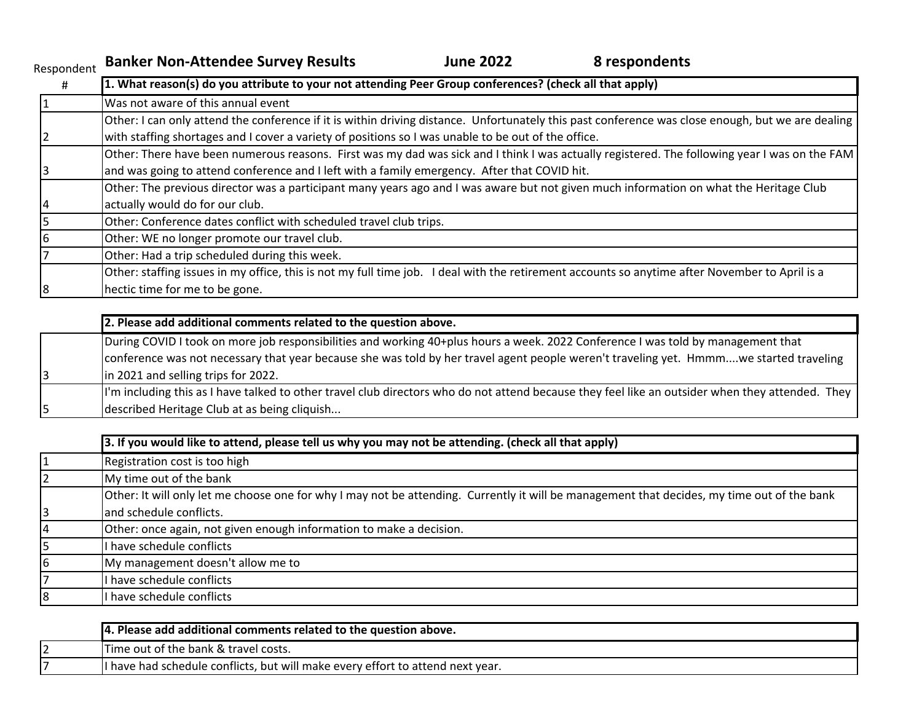| Respondent | <b>Banker Non-Attendee Survey Results</b>                                                                                              | <b>June 2022</b> | 8 respondents                                                                                                                                     |
|------------|----------------------------------------------------------------------------------------------------------------------------------------|------------------|---------------------------------------------------------------------------------------------------------------------------------------------------|
| #          | 1. What reason(s) do you attribute to your not attending Peer Group conferences? (check all that apply)                                |                  |                                                                                                                                                   |
|            | Was not aware of this annual event                                                                                                     |                  |                                                                                                                                                   |
|            |                                                                                                                                        |                  | Other: I can only attend the conference if it is within driving distance. Unfortunately this past conference was close enough, but we are dealing |
|            | with staffing shortages and I cover a variety of positions so I was unable to be out of the office.                                    |                  |                                                                                                                                                   |
|            |                                                                                                                                        |                  | Other: There have been numerous reasons. First was my dad was sick and I think I was actually registered. The following year I was on the FAM     |
|            | and was going to attend conference and I left with a family emergency. After that COVID hit.                                           |                  |                                                                                                                                                   |
|            | Other: The previous director was a participant many years ago and I was aware but not given much information on what the Heritage Club |                  |                                                                                                                                                   |
|            | actually would do for our club.                                                                                                        |                  |                                                                                                                                                   |
|            | Other: Conference dates conflict with scheduled travel club trips.                                                                     |                  |                                                                                                                                                   |
|            | Other: WE no longer promote our travel club.                                                                                           |                  |                                                                                                                                                   |
|            | Other: Had a trip scheduled during this week.                                                                                          |                  |                                                                                                                                                   |
|            | Other: staffing issues in my office, this is not my full time job.                                                                     |                  | I deal with the retirement accounts so anytime after November to April is a                                                                       |

8 hectic time for me to be gone.

| 2. Please add additional comments related to the question above.                                                                                 |
|--------------------------------------------------------------------------------------------------------------------------------------------------|
| During COVID I took on more job responsibilities and working 40+plus hours a week. 2022 Conference I was told by management that                 |
| conference was not necessary that year because she was told by her travel agent people weren't traveling yet. Hmmmwe started traveling           |
| in 2021 and selling trips for 2022.                                                                                                              |
| I'm including this as I have talked to other travel club directors who do not attend because they feel like an outsider when they attended. They |
| described Heritage Club at as being cliquish                                                                                                     |

|    | 3. If you would like to attend, please tell us why you may not be attending. (check all that apply)                                         |
|----|---------------------------------------------------------------------------------------------------------------------------------------------|
|    | Registration cost is too high                                                                                                               |
|    | My time out of the bank                                                                                                                     |
|    | Other: It will only let me choose one for why I may not be attending. Currently it will be management that decides, my time out of the bank |
|    | and schedule conflicts.                                                                                                                     |
|    | Other: once again, not given enough information to make a decision.                                                                         |
|    | I have schedule conflicts                                                                                                                   |
| 16 | My management doesn't allow me to                                                                                                           |
|    | I have schedule conflicts                                                                                                                   |
| 18 | I have schedule conflicts                                                                                                                   |
|    |                                                                                                                                             |

| 14. Please add additional comments related to the question above.              |
|--------------------------------------------------------------------------------|
| Time out of the bank & travel costs.                                           |
| I have had schedule conflicts, but will make every effort to attend next year. |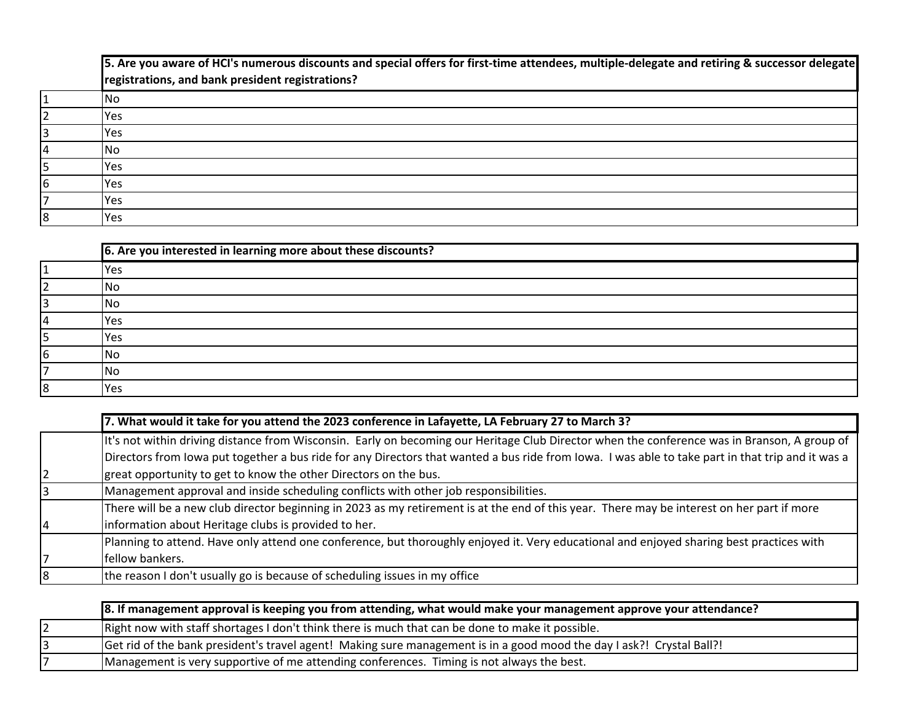5. Are you aware of HCI's numerous discounts and special offers for first-time attendees, multiple-delegate and retiring & successor delegate **registrations, and bank president registrations?**

|            | lNo        |
|------------|------------|
|            | Yes        |
| ۰          | Yes        |
| $\epsilon$ | <b>INo</b> |
| ب          | Yes        |
| 6          | Yes        |
|            | Yes        |
| 18         | Yes        |

|    | 6. Are you interested in learning more about these discounts? |
|----|---------------------------------------------------------------|
|    | Yes                                                           |
|    | lNo                                                           |
|    | lNo                                                           |
| 4  | <b>Yes</b>                                                    |
|    | Yes                                                           |
| 16 | l No                                                          |
|    | <b>No</b>                                                     |
| 8  | Yes                                                           |

| 7. What would it take for you attend the 2023 conference in Lafayette, LA February 27 to March 3?                                                 |
|---------------------------------------------------------------------------------------------------------------------------------------------------|
| It's not within driving distance from Wisconsin. Early on becoming our Heritage Club Director when the conference was in Branson, A group of      |
| Directors from lowa put together a bus ride for any Directors that wanted a bus ride from lowa. I was able to take part in that trip and it was a |
| great opportunity to get to know the other Directors on the bus.                                                                                  |
| Management approval and inside scheduling conflicts with other job responsibilities.                                                              |
| There will be a new club director beginning in 2023 as my retirement is at the end of this year. There may be interest on her part if more        |
| information about Heritage clubs is provided to her.                                                                                              |
| Planning to attend. Have only attend one conference, but thoroughly enjoyed it. Very educational and enjoyed sharing best practices with          |
| fellow bankers.                                                                                                                                   |
| the reason I don't usually go is because of scheduling issues in my office                                                                        |

| 8. If management approval is keeping you from attending, what would make your management approve your attendance?     |
|-----------------------------------------------------------------------------------------------------------------------|
| Right now with staff shortages I don't think there is much that can be done to make it possible.                      |
| Get rid of the bank president's travel agent! Making sure management is in a good mood the day I ask?! Crystal Ball?! |
| Management is very supportive of me attending conferences. Timing is not always the best.                             |